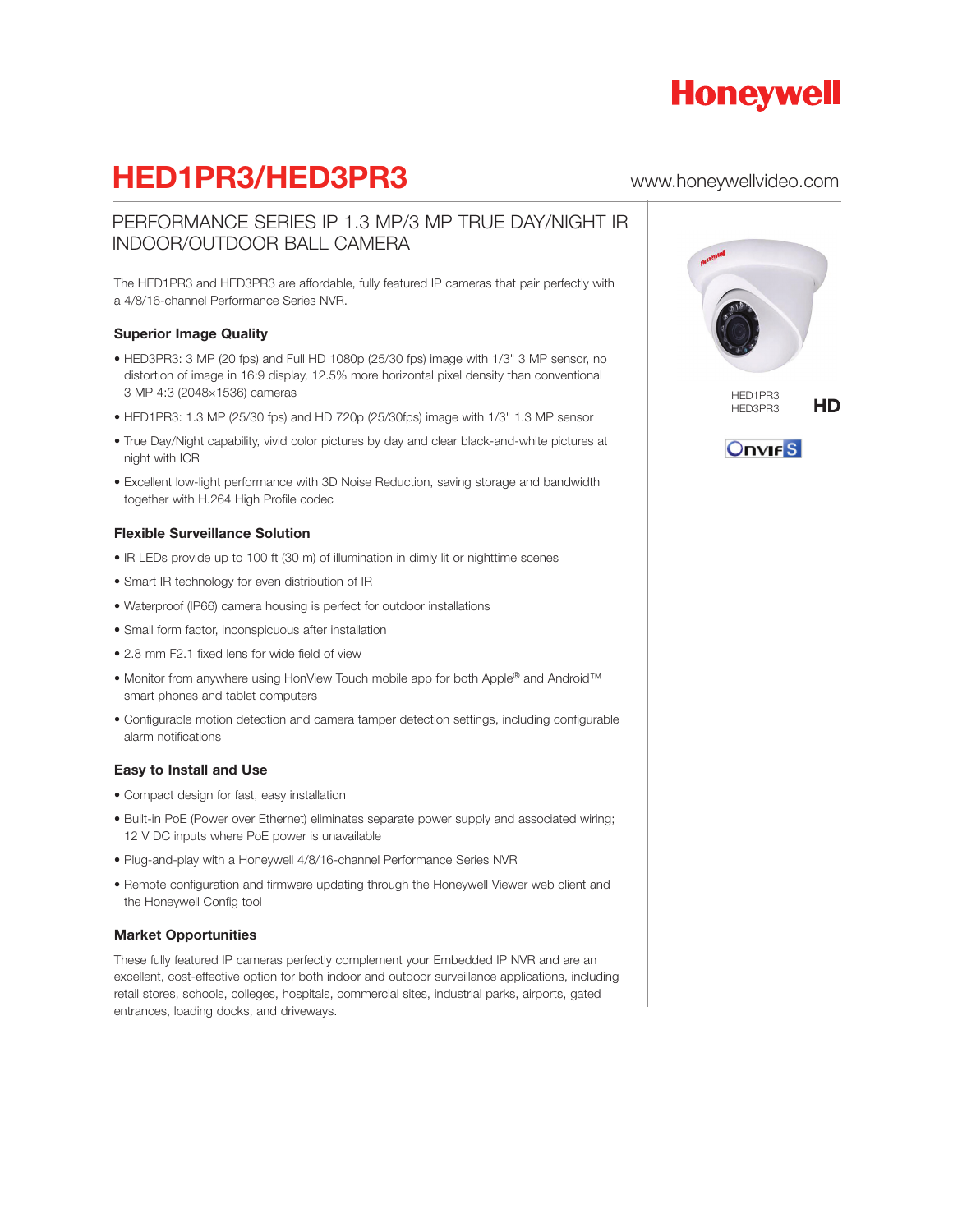

# HED1PR3/HED3PR3 www.honeywellvideo.com

## PERFORMANCE SERIES IP 1.3 MP/3 MP TRUE DAY/NIGHT IR INDOOR/OUTDOOR BALL CAMERA

The HED1PR3 and HED3PR3 are affordable, fully featured IP cameras that pair perfectly with a 4/8/16-channel Performance Series NVR.

### Superior Image Quality

- HED3PR3: 3 MP (20 fps) and Full HD 1080p (25/30 fps) image with 1/3" 3 MP sensor, no distortion of image in 16:9 display, 12.5% more horizontal pixel density than conventional 3 MP 4:3 (2048×1536) cameras
- HED1PR3: 1.3 MP (25/30 fps) and HD 720p (25/30fps) image with 1/3" 1.3 MP sensor
- True Day/Night capability, vivid color pictures by day and clear black-and-white pictures at night with ICR
- Excellent low-light performance with 3D Noise Reduction, saving storage and bandwidth together with H.264 High Profile codec

### Flexible Surveillance Solution

- IR LEDs provide up to 100 ft (30 m) of illumination in dimly lit or nighttime scenes
- Smart IR technology for even distribution of IR
- Waterproof (IP66) camera housing is perfect for outdoor installations
- Small form factor, inconspicuous after installation
- 2.8 mm F2.1 fixed lens for wide field of view
- Monitor from anywhere using HonView Touch mobile app for both Apple® and Android™ smart phones and tablet computers
- Configurable motion detection and camera tamper detection settings, including configurable alarm notifications

### Easy to Install and Use

- Compact design for fast, easy installation
- Built-in PoE (Power over Ethernet) eliminates separate power supply and associated wiring; 12 V DC inputs where PoE power is unavailable
- Plug-and-play with a Honeywell 4/8/16-channel Performance Series NVR
- Remote configuration and firmware updating through the Honeywell Viewer web client and the Honeywell Config tool

### Market Opportunities

These fully featured IP cameras perfectly complement your Embedded IP NVR and are an excellent, cost-effective option for both indoor and outdoor surveillance applications, including retail stores, schools, colleges, hospitals, commercial sites, industrial parks, airports, gated entrances, loading docks, and driveways.



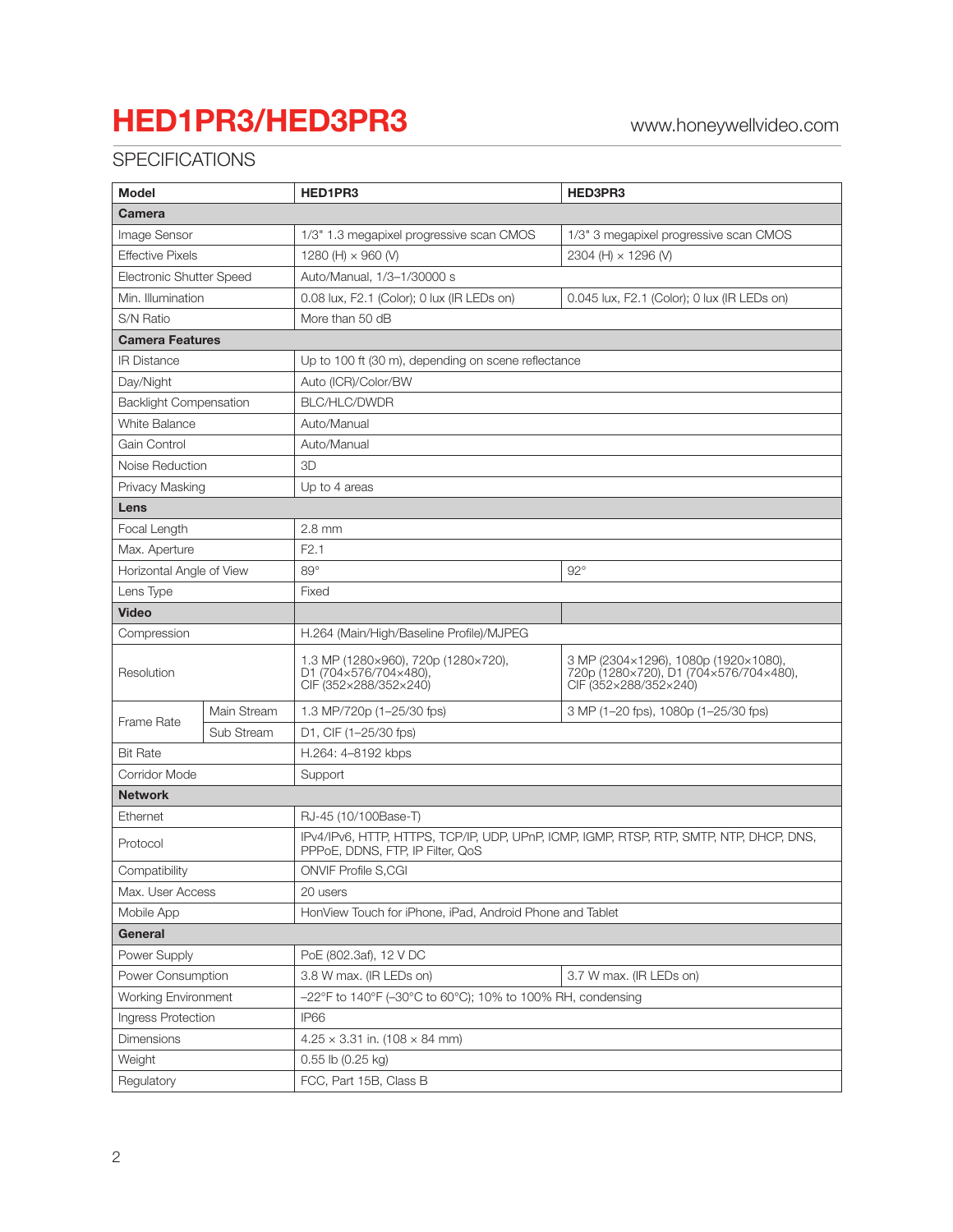# HED1PR3/HED3PR3 www.honeywellvideo.com

## **SPECIFICATIONS**

| <b>Model</b>                    |             | HED1PR3                                                                                                                     | HED3PR3                                                                                                 |  |
|---------------------------------|-------------|-----------------------------------------------------------------------------------------------------------------------------|---------------------------------------------------------------------------------------------------------|--|
| <b>Camera</b>                   |             |                                                                                                                             |                                                                                                         |  |
| Image Sensor                    |             | 1/3" 1.3 megapixel progressive scan CMOS                                                                                    | 1/3" 3 megapixel progressive scan CMOS                                                                  |  |
| <b>Effective Pixels</b>         |             | 1280 (H) $\times$ 960 (V)                                                                                                   | 2304 (H) × 1296 (V)                                                                                     |  |
| <b>Electronic Shutter Speed</b> |             | Auto/Manual, 1/3-1/30000 s                                                                                                  |                                                                                                         |  |
| Min. Illumination               |             | 0.08 lux, F2.1 (Color); 0 lux (IR LEDs on)                                                                                  | 0.045 lux, F2.1 (Color); 0 lux (IR LEDs on)                                                             |  |
| S/N Ratio                       |             | More than 50 dB                                                                                                             |                                                                                                         |  |
| <b>Camera Features</b>          |             |                                                                                                                             |                                                                                                         |  |
| <b>IR Distance</b>              |             | Up to 100 ft (30 m), depending on scene reflectance                                                                         |                                                                                                         |  |
| Day/Night                       |             | Auto (ICR)/Color/BW                                                                                                         |                                                                                                         |  |
| <b>Backlight Compensation</b>   |             | BLC/HLC/DWDR                                                                                                                |                                                                                                         |  |
| <b>White Balance</b>            |             | Auto/Manual                                                                                                                 |                                                                                                         |  |
| Gain Control                    |             | Auto/Manual                                                                                                                 |                                                                                                         |  |
| Noise Reduction                 |             | 3D                                                                                                                          |                                                                                                         |  |
| Privacy Masking                 |             | Up to 4 areas                                                                                                               |                                                                                                         |  |
| Lens                            |             |                                                                                                                             |                                                                                                         |  |
| Focal Length                    |             | $2.8$ mm                                                                                                                    |                                                                                                         |  |
| Max. Aperture                   |             | F2.1                                                                                                                        |                                                                                                         |  |
| Horizontal Angle of View        |             | $89^\circ$                                                                                                                  | $92^\circ$                                                                                              |  |
| Lens Type                       |             | Fixed                                                                                                                       |                                                                                                         |  |
| <b>Video</b>                    |             |                                                                                                                             |                                                                                                         |  |
| Compression                     |             | H.264 (Main/High/Baseline Profile)/MJPEG                                                                                    |                                                                                                         |  |
| Resolution                      |             | 1.3 MP (1280×960), 720p (1280×720),<br>D1 (704×576/704×480),<br>CIF (352×288/352×240)                                       | 3 MP (2304×1296), 1080p (1920×1080),<br>720p (1280×720), D1 (704×576/704×480),<br>CIF (352×288/352×240) |  |
|                                 | Main Stream | 1.3 MP/720p (1-25/30 fps)                                                                                                   | 3 MP (1-20 fps), 1080p (1-25/30 fps)                                                                    |  |
| Frame Rate                      | Sub Stream  | D1, CIF (1-25/30 fps)                                                                                                       |                                                                                                         |  |
| <b>Bit Rate</b>                 |             | H.264: 4-8192 kbps                                                                                                          |                                                                                                         |  |
| Corridor Mode                   |             | Support                                                                                                                     |                                                                                                         |  |
| <b>Network</b>                  |             |                                                                                                                             |                                                                                                         |  |
| Ethernet                        |             | RJ-45 (10/100Base-T)                                                                                                        |                                                                                                         |  |
| Protocol                        |             | IPv4/IPv6, HTTP, HTTPS, TCP/IP, UDP, UPnP, ICMP, IGMP, RTSP, RTP, SMTP, NTP, DHCP, DNS,<br>PPPoE, DDNS, FTP, IP Filter, QoS |                                                                                                         |  |
| Compatibility                   |             | ONVIF Profile S,CGI                                                                                                         |                                                                                                         |  |
| Max. User Access                |             | 20 users                                                                                                                    |                                                                                                         |  |
| Mobile App                      |             | HonView Touch for iPhone, iPad, Android Phone and Tablet                                                                    |                                                                                                         |  |
| General                         |             |                                                                                                                             |                                                                                                         |  |
| Power Supply                    |             | PoE (802.3af), 12 V DC                                                                                                      |                                                                                                         |  |
| Power Consumption               |             | 3.8 W max. (IR LEDs on)<br>3.7 W max. (IR LEDs on)                                                                          |                                                                                                         |  |
| <b>Working Environment</b>      |             | $-22^{\circ}$ F to 140°F (-30°C to 60°C); 10% to 100% RH, condensing                                                        |                                                                                                         |  |
| Ingress Protection              |             | IP66                                                                                                                        |                                                                                                         |  |
| <b>Dimensions</b>               |             | $4.25 \times 3.31$ in. (108 $\times$ 84 mm)                                                                                 |                                                                                                         |  |
| Weight                          |             | 0.55 lb (0.25 kg)                                                                                                           |                                                                                                         |  |
| Regulatory                      |             | FCC, Part 15B, Class B                                                                                                      |                                                                                                         |  |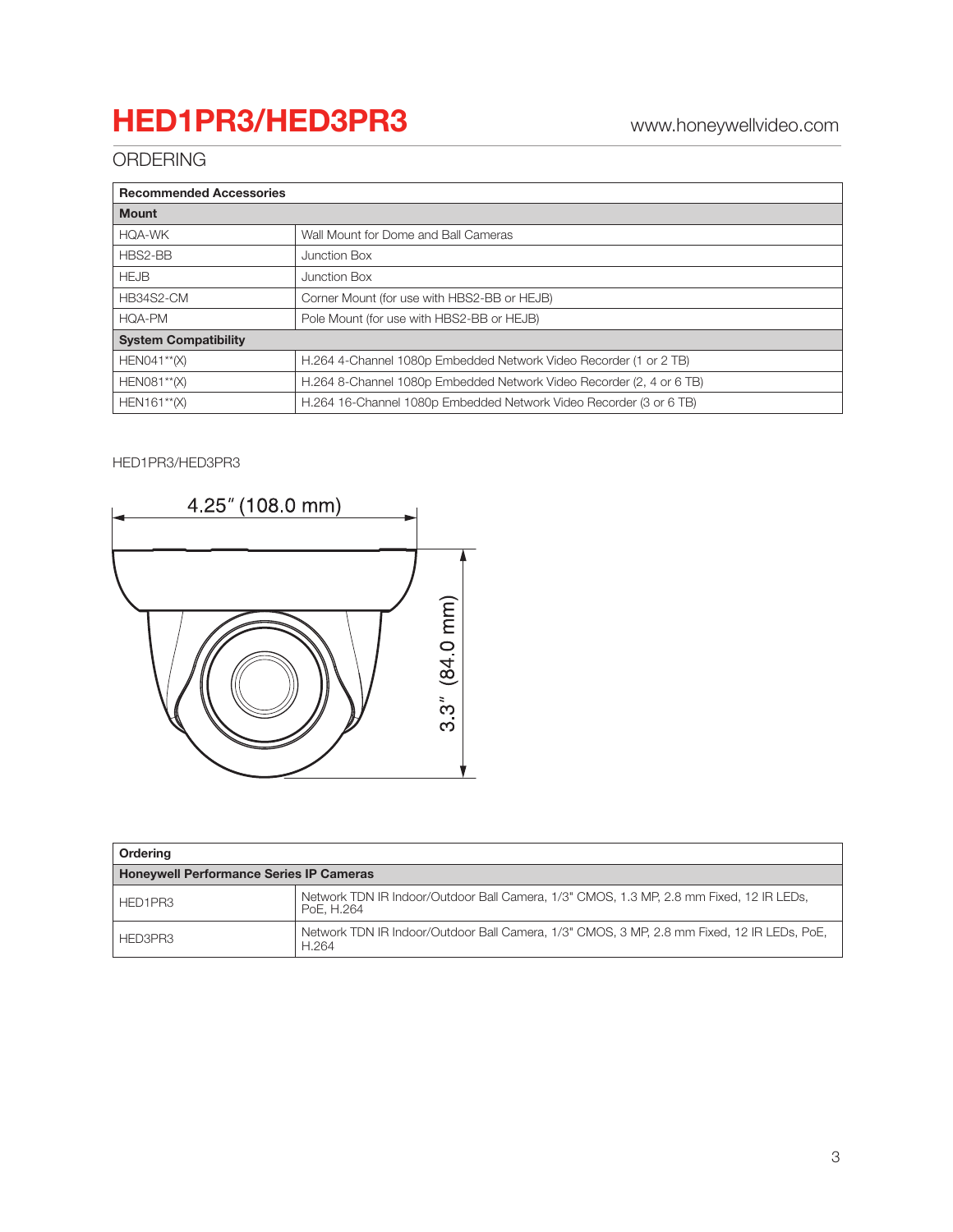# HED1PR3/HED3PR3 www.honeywellvideo.com

## ORDERING

| <b>Recommended Accessories</b> |                                                                      |  |  |  |
|--------------------------------|----------------------------------------------------------------------|--|--|--|
| <b>Mount</b>                   |                                                                      |  |  |  |
| HOA-WK                         | Wall Mount for Dome and Ball Cameras                                 |  |  |  |
| HBS2-BB                        | Junction Box                                                         |  |  |  |
| <b>HEJB</b>                    | Junction Box                                                         |  |  |  |
| <b>HB34S2-CM</b>               | Corner Mount (for use with HBS2-BB or HEJB)                          |  |  |  |
| <b>HOA-PM</b>                  | Pole Mount (for use with HBS2-BB or HEJB)                            |  |  |  |
| <b>System Compatibility</b>    |                                                                      |  |  |  |
| $HENO41**$ $(X)$               | H.264 4-Channel 1080p Embedded Network Video Recorder (1 or 2 TB)    |  |  |  |
| $HEN081**$ (X)                 | H.264 8-Channel 1080p Embedded Network Video Recorder (2, 4 or 6 TB) |  |  |  |
| $HEN161** (X)$                 | H.264 16-Channel 1080p Embedded Network Video Recorder (3 or 6 TB)   |  |  |  |

## HED1PR3/HED3PR3



| Ordering                                       |                                                                                                       |  |  |  |
|------------------------------------------------|-------------------------------------------------------------------------------------------------------|--|--|--|
| <b>Honeywell Performance Series IP Cameras</b> |                                                                                                       |  |  |  |
| HED1PR3                                        | Network TDN IR Indoor/Outdoor Ball Camera, 1/3" CMOS, 1.3 MP, 2.8 mm Fixed, 12 IR LEDs,<br>PoE. H.264 |  |  |  |
| HED3PR3                                        | Network TDN IR Indoor/Outdoor Ball Camera, 1/3" CMOS, 3 MP, 2.8 mm Fixed, 12 IR LEDs, PoE,<br>H.264   |  |  |  |